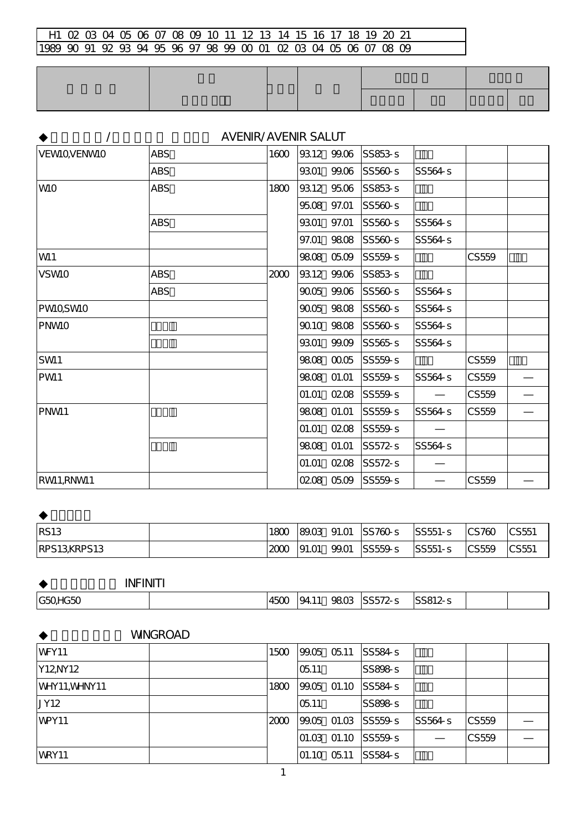# **/ インスコール インスコール AVENIR/AVENIR SALUT**

| <b>VEWIQVENWIO</b> | <b>ABS</b> | 1600 |       | 9312 99.06  | SS853-s |         |       |  |
|--------------------|------------|------|-------|-------------|---------|---------|-------|--|
|                    | <b>ABS</b> |      | 9301  | 99.06       | SS560-s | SS564-s |       |  |
| <b>WIO</b>         | <b>ABS</b> | 1800 | 9312  | 9506        | SS853-s |         |       |  |
|                    |            |      |       | 9508 97.01  | SS560-s |         |       |  |
|                    | <b>ABS</b> |      | 9301  | 97.01       | SS560-s | SS564-s |       |  |
|                    |            |      | 97.O1 | 9808        | SS560s  | SS564-s |       |  |
| W11                |            |      |       | 9808 0509   | SS559-s |         | CS559 |  |
| <b>VSWIO</b>       | <b>ABS</b> | 2000 |       | 9312 99.06  | SS853-s |         |       |  |
|                    | <b>ABS</b> |      |       | 90.05 99.06 | SS560-s | SS564-s |       |  |
| <b>PWIQSWIO</b>    |            |      |       | 9005 9808   | SS560s  | SS564-s |       |  |
| <b>PNWIO</b>       |            |      |       | 9010 9808   | SS560s  | SS564-s |       |  |
|                    |            |      | 9301  | 99.09       | SS565s  | SS564-s |       |  |
| SW11               |            |      |       | 9808 0005   | SS559-s |         | CS559 |  |
| PW <sub>1</sub>    |            |      |       | 9808 01.01  | SS559-s | SS564-s | CS559 |  |
|                    |            |      | 01.01 | 0208        | SS559-s |         | CS559 |  |
| PNM <sub>1</sub>   |            |      |       | 9808 01.01  | SS559-s | SS564 s | CS559 |  |
|                    |            |      | O1.01 | 0208        | SS559-s |         |       |  |
|                    |            |      | 9808  | 01.01       | SS572-s | SS564-s |       |  |
|                    |            |      | 01.01 | 0208        | SS572-s |         |       |  |
| RWI1,RNWI1         |            |      |       | 0208 0509   | SS559-s |         | CS559 |  |

| <b>IRS13</b> | 1800 | 89.03 | 91.01 SS760-s | <b>SS551-s</b> | $\textcolor{red}{\mathsf{CS}760}$ | $ {\sf CS5}1$                     |
|--------------|------|-------|---------------|----------------|-----------------------------------|-----------------------------------|
| RPS13KRPS13  | 2000 | 91.01 | 99.01 SS559-s | <b>SS551-S</b> | $ {\sf CS559}$                    | $\textcolor{red}{\mathsf{CC}551}$ |

| <b>INFINITI</b> |      |       |      |         |         |  |
|-----------------|------|-------|------|---------|---------|--|
| G50HG50         | 4500 | 94.11 | 9803 | SS572-s | SS812-s |  |

#### **WINGROAD**

| <b>WFY11</b>  | 1500 | 99.05 05.11  | SS584s                           |         |       |  |
|---------------|------|--------------|----------------------------------|---------|-------|--|
| Y12NY12       |      | 05.11        | SS898s                           |         |       |  |
| WHY11, WHNY11 | 1800 |              | 99.05 01.10 SS584-S              |         |       |  |
| <b>JY12</b>   |      | 05.11        | SS898-s                          |         |       |  |
| WPY11         | 2000 |              | $99.05$ 01.03 SS559-s            | SS564-s | CS559 |  |
|               |      |              | $[01.03 \t 01.10 \t 0.5559 - s]$ |         | CS559 |  |
| <b>WRY11</b>  |      | 101.10 05.11 | SS584-s                          |         |       |  |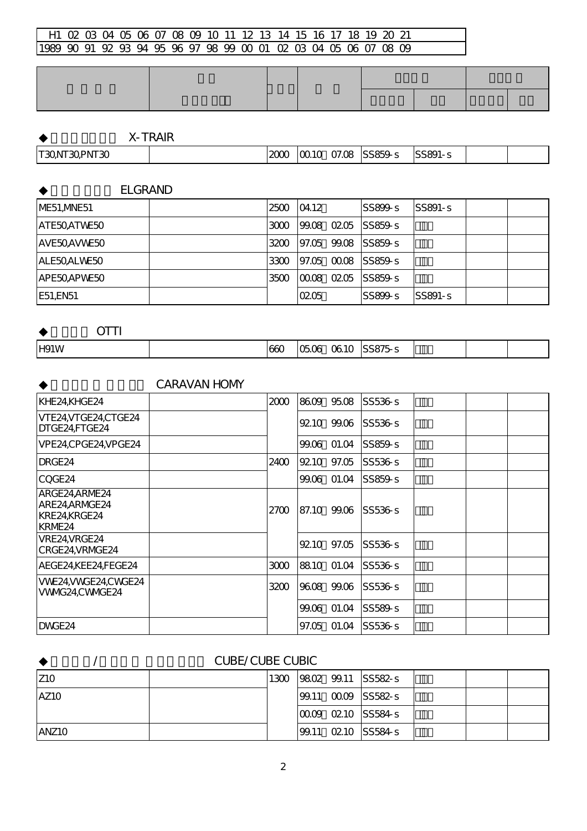|  |  |  | <b>X-TRAIR</b> |  |
|--|--|--|----------------|--|
|--|--|--|----------------|--|

| $T30$ NT<br>30PNT30 | ----<br>$\Delta U$ | <u>10010</u> | 07.0E | <b>SS859</b> | $\sim$<br>. .<br>കാറ്റ |  |
|---------------------|--------------------|--------------|-------|--------------|------------------------|--|
|                     |                    |              |       |              |                        |  |

**ELGRAND** ME51,MNE51 2500 04.12~ SS899-s SS891-s  $\begin{array}{r|c|c|c|c|c|c|c|c} \text{ATE50} & & \text{ATE50} & \text{ATE50} \end{array} \begin{array}{r|c|c|c|c} \text{ATE50} & & \text{ATE50} & \text{ATE50} & \text{ATE50} & \text{ATE50} & \text{ATE50} & \text{ATE50} & \text{ATE50} & \text{ATE50} & \text{ATE50} & \text{ATE50} & \text{ATE50} & \text{ATE50} & \text{ATE50} & \text{ATE50} & \text{ATE50} & \text{ATE$  $\overline{\text{OMMIEO}}$ 

| AVE5UAVWE5U |      |      | 3400 PH.05 99.08 SS859-S   |           |  |
|-------------|------|------|----------------------------|-----------|--|
| ALE50ALWE50 |      |      | 3300 197.05 00.08 ISS859-s |           |  |
| APE50APWE50 | 3500 |      | $ 0008 \t0205 \t $ SS859-s |           |  |
| E51.EN51    |      | 0205 | $SS899 - S$                | $SS891-S$ |  |

**OTTI**  $H91W$   $660$   $\sigma$   $650$   $\sigma$   $610$  SS875-s

### CARAVAN HOMY

| KHE24,KHGE24                                             | 2000 |       | 8609 95.08  | SS536-s           |  |  |
|----------------------------------------------------------|------|-------|-------------|-------------------|--|--|
| VTE24VTGE24,CTGE24<br>DTGE24,FTGE24                      |      |       |             | 9210 9906 SS536-S |  |  |
| VPE24,CPGE24,VPGE24                                      |      |       | 99.06 01.04 | SS859s            |  |  |
| DRGE <sub>24</sub>                                       | 2400 |       | 9210 97.05  | SS536s            |  |  |
| CQGE24                                                   |      |       | 99.06 01.04 | SS859s            |  |  |
| ARGE24,ARME24<br>ARE24,ARMGE24<br>KRE24,KRGE24<br>KRME24 | 27CO |       | 87.10 99.06 | SS536s            |  |  |
| VRE24, VRGE24<br>CRGE24VRMGE24                           |      |       | 9210 97.05  | SS536s            |  |  |
| AEGE24KEE24FEGE24                                        | 3000 |       | 88.10 01.04 | SS536-s           |  |  |
| VWE24, VWGE24, CWGE24<br>VWVG24,CWVGE24                  | 3200 | 9608  | 99.06       | SS536-s           |  |  |
|                                                          |      |       | 99.06 01.04 | SS589s            |  |  |
| DWGE <sub>24</sub>                                       |      | 97.05 | 01.04       | SS536-s           |  |  |

#### ◆キューブ/キューブ キュービック CUBE/CUBE CUBIC

| <b>Z10</b>        | 1300 |  | $ 9802 \t 99.11  $ SS582-s       |  |  |
|-------------------|------|--|----------------------------------|--|--|
| IAZ <sub>10</sub> |      |  | $ 99.11 \t0009 $ SS582-s         |  |  |
|                   |      |  | $[0009 \t0210 \t S584-s]$        |  |  |
| ANZ <sub>10</sub> |      |  | $ 99.11 \t\t 0210 \t\t  SS584-s$ |  |  |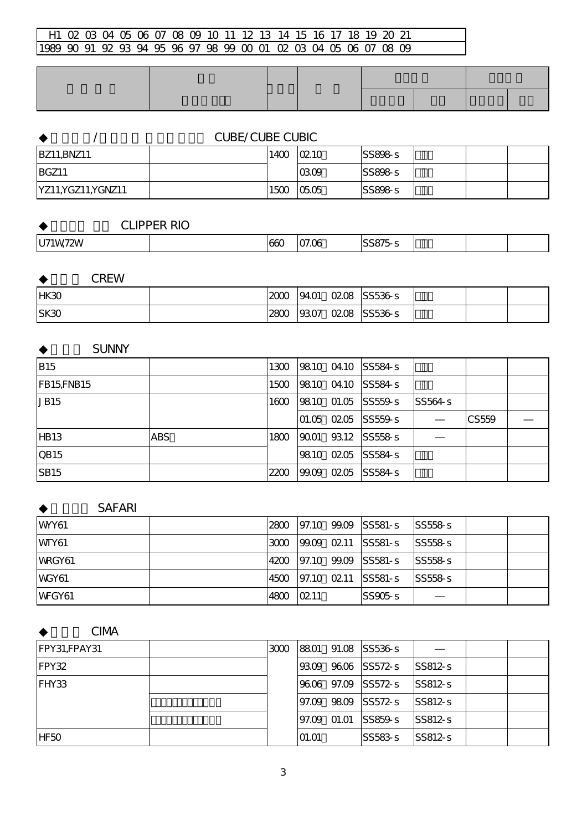| <b>CUBE/CUBE CUBIC</b> |      |             |        |  |  |  |  |  |
|------------------------|------|-------------|--------|--|--|--|--|--|
| <b>BZ11, BNZ11</b>     | 1400 | $\Omega$ 10 | SS898s |  |  |  |  |  |
| <b>BGZ11</b>           |      | 0309        | SS898s |  |  |  |  |  |
| YZ11, YGZ11, YGNZ11    | 1500 | 0505        | SS898s |  |  |  |  |  |

### **CLIPPER RIO**

| $\sim$ $\sim$ $\sim$<br>.<br>$U7^{\prime}$<br>$\sim$<br>660<br>2W<br>W<br>. וחרי<br>,,,,,, |  |
|--------------------------------------------------------------------------------------------|--|
|--------------------------------------------------------------------------------------------|--|

#### **CREW**

| HK30  | 2000 | 94.O1 | 0208 | SS536s  |  |  |
|-------|------|-------|------|---------|--|--|
| ISK30 | 2800 | 9307  | 0208 | SS536-s |  |  |

### **SUNNY**

| <b>B15</b>  |            | 1300 |      | 9810 0410 SS584-s        |         |       |  |
|-------------|------------|------|------|--------------------------|---------|-------|--|
| FB15FNB15   |            | 1500 |      | 9810 0410 SS584-s        |         |       |  |
| JB15        |            | 1600 |      | 98.10 01.05 SS559-S      | SS564-s |       |  |
|             |            |      |      | $01.05$ $0205$ $ SS559s$ |         | CS559 |  |
| <b>HB13</b> | <b>ABS</b> | 1800 | 9001 | 93.12 SS558-s            |         |       |  |
| <b>QB15</b> |            |      |      | 98.10 0205 SS584-S       |         |       |  |
| <b>SB15</b> |            | 2200 |      | 99.09 0205 SS584-S       |         |       |  |

#### **SAFARI**

| WY61         | 2800 |      | 97.10 99.09 SS581-S | SS558s  |  |
|--------------|------|------|---------------------|---------|--|
| WTY61        | 3000 |      | 99.09 02.11 SS581-S | SS558s  |  |
| WRGY61       | 4200 |      | 97.10 99.09 SS581-S | SS558s  |  |
| <b>WGY61</b> | 4500 |      | 97.10 02.11 SS581-S | SS558-s |  |
| WFGY61       | 4800 | 0211 | $SS905-s$           |         |  |

### **CIMA**

| FPY31,FPAY31 | 3000 |       |              | 8801 91.08 SS536-S |             |  |
|--------------|------|-------|--------------|--------------------|-------------|--|
| FPY32        |      |       |              | 9309 9606 SS572-S  | $ SS812-s $ |  |
| FHY33        |      |       |              | 9606 97.09 SS572-s | $ SS812-s$  |  |
|              |      |       |              | 97.09 9809 SS572-S | $SS812-s$   |  |
|              |      |       | 197.09 01.01 | $SS859 - S$        | $SS812-s$   |  |
| IHF50        |      | 01.01 |              | $SS583 - S$        | $ SS812-s $ |  |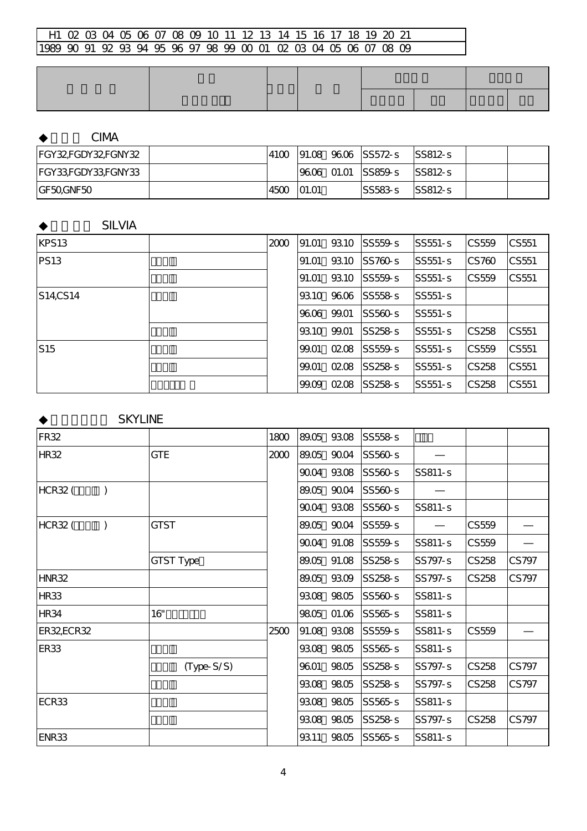# **CIMA**

| FGY32FGDY32FGNY32 | 41 <sub>0</sub> |          | 191.08 96.06 ISS572-s        | ISS812-s   |  |
|-------------------|-----------------|----------|------------------------------|------------|--|
| FGY33FGDY33FGNY33 |                 |          | $ 9606 \t{0}1.01 $ $ SS859s$ | ISS812-s   |  |
| IGF50GNF50        | 4500            | $-01.01$ | ISS583-s                     | $ SS812-s$ |  |

### **SILVIA**

| KPS13           | 2000 | 91.01 | 9310  | SS559s      | SS551-s        | CS559                            | CS551 |
|-----------------|------|-------|-------|-------------|----------------|----------------------------------|-------|
| <b>PS13</b>     |      | 91.01 | 9310  | SS760s      | <b>SS551-s</b> | CS760                            | CS551 |
|                 |      | 91.O1 | 9310  | $SS559 - S$ | ISS551-s       | <b>CS559</b>                     | CS551 |
| S14CS14         |      | 9310  | 9606  | SS558s      | ISS551-s       |                                  |       |
|                 |      | 9606  | 99.01 | SS560s      | SS551-s        |                                  |       |
|                 |      | 9310  | 99.01 | SS258s      | <b>SS551-s</b> | CS258                            | CS551 |
| S <sub>15</sub> |      | 99.01 | 0208  | SS559s      | SS551-s        | $\textcolor{red}{\text{CS}}$ 559 | CS551 |
|                 |      | 99.01 | 0208  | SS258s      | SS551-s        | <b>CS258</b>                     | CS551 |
|                 |      | 99.09 | 0208  | SS258s      | ISS551-s       | CS258                            | CS551 |

# **SKYLINE**

| FR <sub>32</sub> |              | 1800 |       | 89.05 93.08 | SS558-s |         |       |       |
|------------------|--------------|------|-------|-------------|---------|---------|-------|-------|
| <b>HR32</b>      | <b>GTE</b>   | 2000 |       | 89.05 90.04 | SS560-s |         |       |       |
|                  |              |      | 9004  | 9308        | SS560-s | SS811-s |       |       |
| <b>HCR32 (</b>   |              |      | 89.05 | 9004        | SS560-s |         |       |       |
|                  |              |      | 9004  | 9308        | SS560-s | SS811-s |       |       |
| <b>HCR32 (</b>   | <b>GTST</b>  |      |       | 89.05 90.04 | SS559-s |         | CS559 |       |
|                  |              |      |       | 90.04 91.08 | SS559-s | SS811-s | CS559 |       |
|                  | GTST Type    |      |       | 89.05 91.08 | SS258-s | SS797-s | CS258 | CS797 |
| HNR32            |              |      |       | 89.05 93.09 | SS258-s | SS797-s | CS258 | CS797 |
| <b>HR33</b>      |              |      |       | 9308 9805   | SS560-s | SS811-s |       |       |
| <b>HR34</b>      | 16"          |      |       | 9805 01.06  | SS565s  | SS811-s |       |       |
| ER32ECR32        |              | 2500 |       | 91.08 93.08 | SS559-s | SS811-s | CS559 |       |
| ER <sub>33</sub> |              |      |       | 9308 9805   | SS565s  | SS811-s |       |       |
|                  | $(Type-S/S)$ |      | 9601  | 9805        | SS258-s | SS797-s | CS258 | CS797 |
|                  |              |      | 9308  | 9805        | SS258-s | SS797-s | CS258 | CS797 |
| ECR33            |              |      |       | 9308 9805   | SS565s  | SS811-s |       |       |
|                  |              |      |       | 9308 9805   | SS258-s | SS797-s | CS258 | CS797 |
| ENR33            |              |      | 9311  | 9805        | SS565s  | SS811-s |       |       |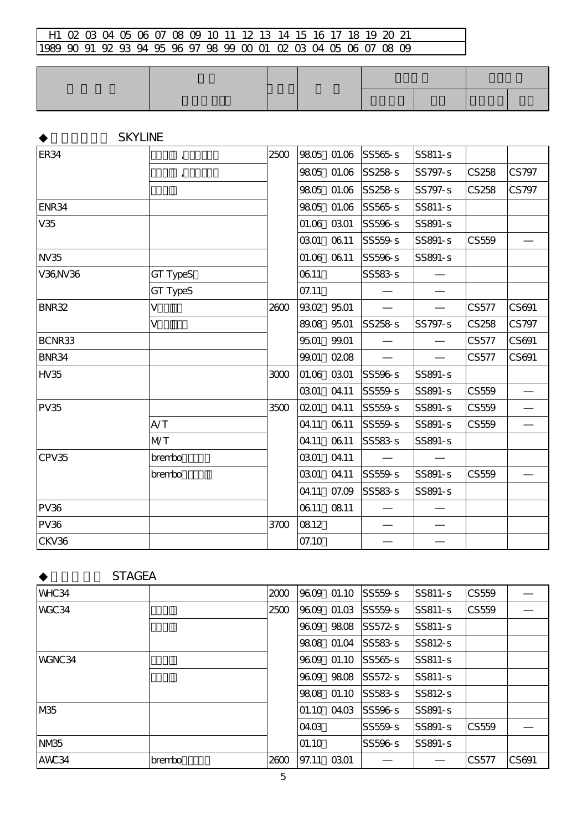|              | <b>SKYLINE</b> |      |       |             |         |         |       |       |
|--------------|----------------|------|-------|-------------|---------|---------|-------|-------|
| <b>ER34</b>  | $\pmb{I}$      | 2500 |       | 9805 01.06  | SS565s  | SS811-s |       |       |
|              | $\mathbf{r}$   |      |       | 9805 01.06  | SS258s  | SS797-s | CS258 | CS797 |
|              |                |      |       | 9805 01.06  | SS258s  | SS797-s | CS258 | CS797 |
| ENR34        |                |      | 9805  | 01.06       | SS565s  | SS811-s |       |       |
| V35          |                |      |       | 01.06 03.01 | SS596-s | SS891-s |       |       |
|              |                |      | 0301  | 0611        | SS559-s | SS891-s | CS559 |       |
| <b>NV35</b>  |                |      |       | 01.06 06.11 | SS596-s | SS891-s |       |       |
| V36NV36      | GT TypeS       |      | 0611  |             | SS583-s |         |       |       |
|              | GT TypeS       |      | 07.11 |             |         |         |       |       |
| <b>BNR32</b> | V              | 2600 |       | 9302 9501   |         |         | CS577 | CS691 |
|              | V              |      |       | 89.08 95.01 | SS258-s | SS797-s | CS258 | CS797 |
| BCNR33       |                |      | 9501  | 99.01       |         |         | CS577 | CS691 |
| BNR34        |                |      | 99.01 | 0208        |         |         | CS577 | CS691 |
| HV35         |                | 3000 | 01.06 | 0301        | SS596-s | SS891-s |       |       |
|              |                |      | 0301  | 04.11       | SS559-s | SS891-s | CS559 |       |
| <b>PV35</b>  |                | 3500 | 0201  | 04.11       | SS559-s | SS891-s | CS559 |       |
|              | A/T            |      | 04.11 | 0611        | SS559-s | SS891-s | CS559 |       |
|              | <b>MT</b>      |      | 04.11 | 0611        | SS583-s | SS891-s |       |       |
| CPV35        | brembo         |      | 0301  | 04.11       |         |         |       |       |
|              | brembo         |      | 0301  | 04.11       | SS559-s | SS891-s | CS559 |       |
|              |                |      | 04.11 | 07.09       | SS583-s | SS891-s |       |       |
| <b>PV36</b>  |                |      | 0611  | 0811        |         |         |       |       |
| <b>PV36</b>  |                | 3700 | 0812  |             |         |         |       |       |
| CKV36        |                |      | 07.10 |             |         |         |       |       |

**STAGEA** 

| WHC34            |        | 2000 | 9609  |             | $01.10$ SS559-s    | $ SS811-S$     | CS559 |       |
|------------------|--------|------|-------|-------------|--------------------|----------------|-------|-------|
| WGC34            |        | 2500 |       | 9609 01.03  | SS559s             | $SS811-S$      | CS559 |       |
|                  |        |      | 9609  |             | 9808 SS572-S       | <b>SS811-s</b> |       |       |
|                  |        |      | 9808  | 01.04       | $SS583 - S$        | $SS812-s$      |       |       |
| WGNC34           |        |      |       |             | 9609 01.10 SS565-S | $SS811-S$      |       |       |
|                  |        |      | 9609  |             | 9808 SS572-s       | $ SS811-s$     |       |       |
|                  |        |      | 9808  | 01.10       | $SS583 - S$        | $SS812-s$      |       |       |
| IM <sub>35</sub> |        |      |       | 01.10 04.03 | SS596s             | SS891-s        |       |       |
|                  |        |      | 04.03 |             | SS559-s            | SS891-s        | CS559 |       |
| NM <sub>R5</sub> |        |      | 01.10 |             | SS596s             | SS891-s        |       |       |
| AWC34            | brembo | 2600 | 97.11 | <b>0301</b> |                    |                | CS577 | CS691 |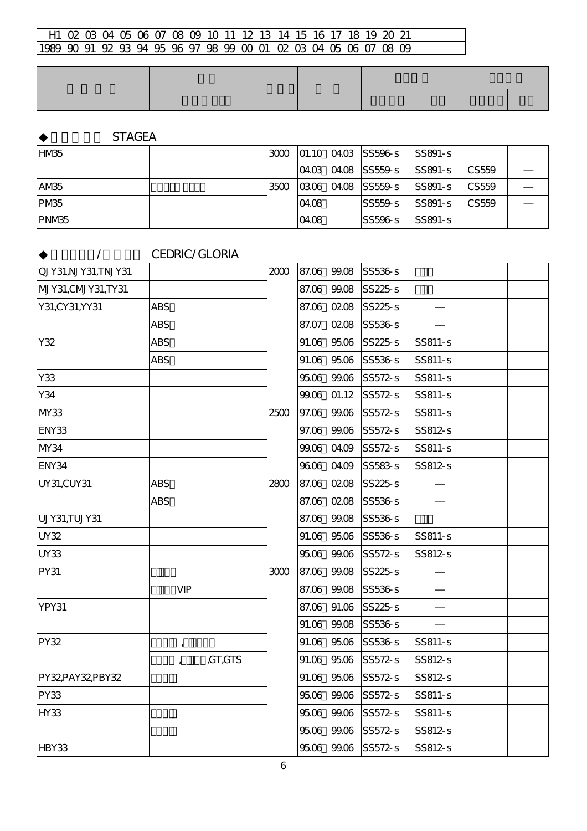**STAGEA** 

| HM <sub>35</sub>  |      |       | $ 3000 01.100403 $ SS596-s          | <b>SS891-S</b> |               |  |
|-------------------|------|-------|-------------------------------------|----------------|---------------|--|
|                   |      |       | $ 0403 \t0408 $ SS559-s             | SS891-s        | <b>ICS559</b> |  |
| AM <sub>35</sub>  | 3500 |       | $ 0306 \t0408 $ SS559-s $ $ SS891-s |                | <b>ICS559</b> |  |
| PM <sub>85</sub>  |      | 04.08 | ISS559-s                            | $ SS891-S $    | <b>CS559</b>  |  |
| PNM <sub>85</sub> |      | 04.08 | SS596s                              | $SS891-S$      |               |  |

◆セドリック/グロリア CEDRIC/GLORIA

| QJY31,NJY31,TNJY31 |                    |         | 2000 |       | 87.06 99.08 | SS536-s |         |  |
|--------------------|--------------------|---------|------|-------|-------------|---------|---------|--|
| MJY31,CMJY31,TY31  |                    |         |      |       | 87.06 99.08 | SS225-s |         |  |
| Y31, CY31, YY31    | <b>ABS</b>         |         |      |       | 87.06 02.08 | SS225-s |         |  |
|                    | <b>ABS</b>         |         |      | 87.07 | 0208        | SS536-s |         |  |
| Y32                | <b>ABS</b>         |         |      |       | 91.06 95.06 | SS225-s | SS811-s |  |
|                    | <b>ABS</b>         |         |      |       | 91.06 95.06 | SS536-s | SS811-s |  |
| Y33                |                    |         |      |       | 9506 99.06  | SS572-s | SS811-s |  |
| Y34                |                    |         |      | 99.06 | O1.12       | SS572-s | SS811-s |  |
| MY33               |                    |         | 2500 |       | 97.06 99.06 | SS572-s | SS811-s |  |
| ENY33              |                    |         |      |       | 97.06 99.06 | SS572-s | SS812-s |  |
| MY34               |                    |         |      | 99.06 | 04.09       | SS572-s | SS811-s |  |
| ENY34              |                    |         |      |       | 9606 04.09  | SS583-s | SS812-s |  |
| UY31,CUY31         | <b>ABS</b>         |         | 2800 |       | 87.06 02.08 | SS225-s |         |  |
|                    | <b>ABS</b>         |         |      |       | 87.06 02.08 | SS536-s |         |  |
| UJY31,TUJY31       |                    |         |      |       | 87.06 99.08 | SS536-s |         |  |
| <b>UY32</b>        |                    |         |      |       | 91.06 95.06 | SS536-s | SS811-s |  |
| <b>UY33</b>        |                    |         |      |       | 95.06 99.06 | SS572-s | SS812-s |  |
| PY31               |                    |         | 3000 |       | 87.06 99.08 | SS225s  |         |  |
|                    | <b>VIP</b>         |         |      |       | 87.06 99.08 | SS536-s |         |  |
| YPY31              |                    |         |      |       | 87.06 91.06 | SS225-s |         |  |
|                    |                    |         |      |       | 91.06 99.08 | SS536-s |         |  |
| <b>PY32</b>        | $\pmb{\mathsf{r}}$ |         |      |       | 91.06 95.06 | SS536-s | SS811-s |  |
|                    |                    | ,GT,GTS |      |       | 91.06 95.06 | SS572-s | SS812-s |  |
| PY32PAY32PBY32     |                    |         |      |       | 91.06 95.06 | SS572-s | SS812-s |  |
| <b>PY33</b>        |                    |         |      |       | 9506 99.06  | SS572-s | SS811-s |  |
| <b>HY33</b>        |                    |         |      | 9506  | 99.06       | SS572-s | SS811-s |  |
|                    |                    |         |      |       | 9506 99.06  | SS572-s | SS812-s |  |
| HBY33              |                    |         |      |       | 9506 99.06  | SS572-s | SS812-s |  |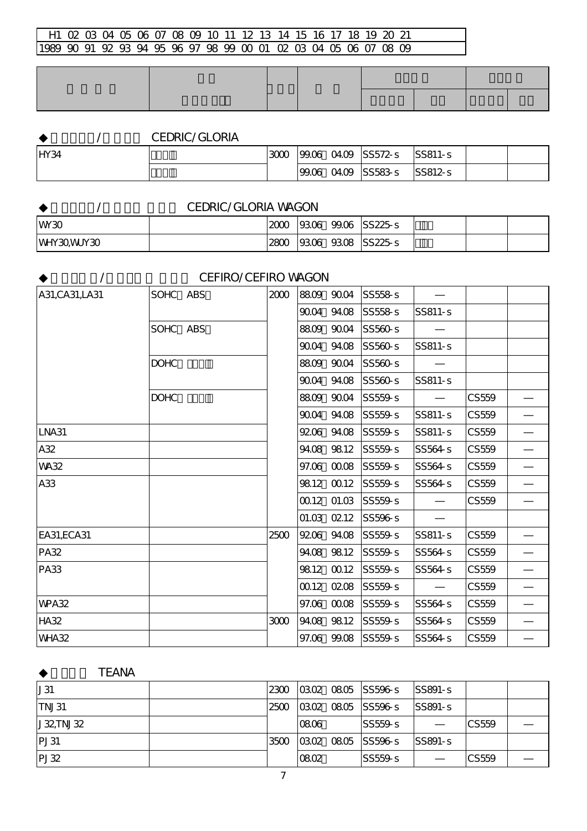# ◆セドリック/グロリア CEDRIC/GLORIA

| HY34 | 3000 | 99.06 | 0409 SS572-s  | $ SS811-s$ |  |
|------|------|-------|---------------|------------|--|
|      |      | 99.06 | 04.09 SS583-S | $ SS812-s$ |  |

|            | <b>CEDRIC/GLORIA WAGON</b> |             |  |                          |  |  |
|------------|----------------------------|-------------|--|--------------------------|--|--|
| WW30       |                            | 2000        |  | $ 9306 \t99.06 $ SS225-s |  |  |
| WHY30WUY30 |                            | <b>2800</b> |  | $ 9306 \t 9308 $ SS225-s |  |  |

**/** CEFIRO/CEFIRO WAGON

| A31, CA31, LA31 | SOHC ABS    | 2000 | 8809 9004   | SS558-s |         |       |  |
|-----------------|-------------|------|-------------|---------|---------|-------|--|
|                 |             |      | 9004 94.08  | SS558-s | SS811-s |       |  |
|                 | SOHC ABS    |      | 8809 9004   | SS560-s |         |       |  |
|                 |             |      | 9004 94.08  | SS560-s | SS811-s |       |  |
|                 | <b>DOHC</b> |      | 8809 9004   | SS560-s |         |       |  |
|                 |             |      | 9004 94.08  | SS560-s | SS811-s |       |  |
|                 | <b>DOHC</b> |      | 8809 9004   | SS559-s |         | CS559 |  |
|                 |             |      | 9004 94.08  | SS559-s | SS811-s | CS559 |  |
| LNA31           |             |      | 9206 94.08  | SS559-s | SS811-s | CS559 |  |
| A32             |             |      | 94.08 98.12 | SS559-s | SS564-s | CS559 |  |
| <b>WA32</b>     |             |      | 97.06 00.08 | SS559-s | SS564-s | CS559 |  |
| A33             |             |      | 9812 0012   | SS559-s | SS564-s | CS559 |  |
|                 |             |      | 0012 01.03  | SS559-s |         | CS559 |  |
|                 |             |      | 01.03 0212  | SS596-s |         |       |  |
| EA31, ECA31     |             | 2500 | 9206 94.08  | SS559-s | SS811-s | CS559 |  |
| <b>PA32</b>     |             |      | 94.08 98.12 | SS559-s | SS564-s | CS559 |  |
| <b>PA33</b>     |             |      | 9812 0012   | SS559-s | SS564-s | CS559 |  |
|                 |             |      | 0012 0208   | SS559-s |         | CS559 |  |
| <b>WPA32</b>    |             |      | 97.06 00.08 | SS559-s | SS564-s | CS559 |  |
| <b>HA32</b>     |             | 3000 | 94.08 98.12 | SS559-s | SS564-s | CS559 |  |
| <b>WHA32</b>    |             |      | 97.06 99.08 | SS559-s | SS564-s | CS559 |  |

**TEANA** 

| J31      |      | 2300 0302 0805 SS596-s SS891-s |            |       |  |
|----------|------|--------------------------------|------------|-------|--|
| ITNJ31   |      | 2500 0302 0805 SS596-s         | $ SS891-S$ |       |  |
| J32TNJ32 | 0806 | SS559-s                        |            | CS559 |  |
| PI31     |      | 3500 0302 0805 SS596-S         | $ SS891-S$ |       |  |
| PI32     | 0802 | SS559s                         |            | CS559 |  |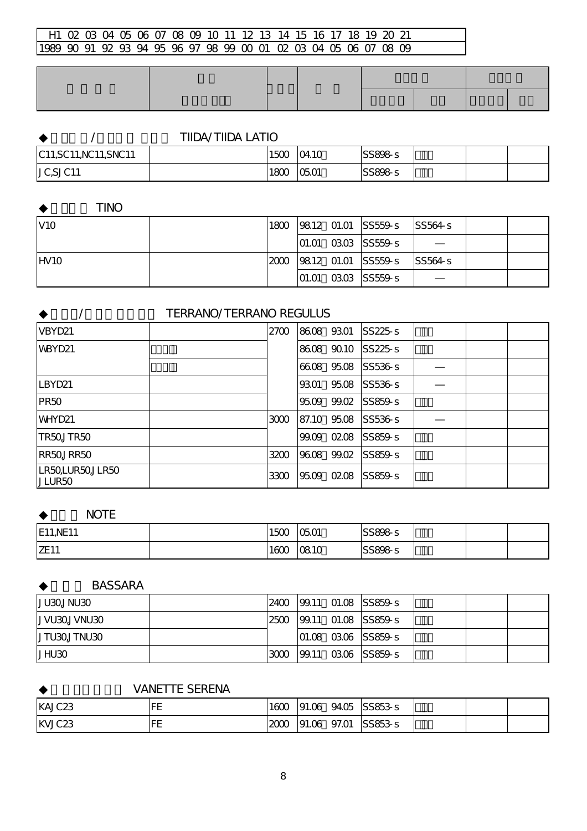|                        | <b>TIIDA/TIIDA LATIO</b> |              |         |  |  |
|------------------------|--------------------------|--------------|---------|--|--|
| C11, SC11, NC11, SNC11 | 1500                     | $\alpha$ 10  | SS898s  |  |  |
| JC,SJC11               | 1800                     | <b>05.01</b> | SS898-s |  |  |

◆ティーノ TINO

| IV10              | 1800 |  | $ 9812 \t{0}1.01 $ SS559-s SS564-s            |  |  |
|-------------------|------|--|-----------------------------------------------|--|--|
|                   |      |  | $ 01.01 \t03.03 \t $ SS559-s                  |  |  |
| IHV <sub>10</sub> |      |  | $ 2000 $ $ 9812 01.01 $ $ S5559s $ $ S5564s $ |  |  |
|                   |      |  | $ 01.01 \t03.03 \t $ SS559-s                  |  |  |

# ◆テラノ/テラノ レグラス TERRANO/TERRANO REGULUS  $V$ BYD21  $2700$  86.08 93.01 SS225-s WBYD21 | Register | Register | Register | Register | Register | Register | Register | Register | Register | Re  $66.08$   $95.08$  SS536-s LBYD21 93.01~95.08 SS536-s ― PR50 95.09~99.02 SS859-s ドラム  $W$ HYD21  $300$  87.10~95.08 SS536-s  $TRSQJTR50$   $99.09~Q208$  SS859-s RR50,JRR50 3200 96.08~99.02 SS859-s ドラム <mark>LR50,</mark>LUR50,JLR50<br>JLUR50  $3300$   $9509$   $0208$  SS859-s

**NOTE** 

| <b>E11, NE11</b> | $1 - 2$<br>1 W<br>. JJ | 0501                 | SS898-s |  |  |
|------------------|------------------------|----------------------|---------|--|--|
| <b>ZE11</b>      | 1600                   | <u>∩81∩</u><br>ua iu | SS898-s |  |  |

**BASSARA** 

| DEUNLOEULI   | 2400 |  | 199.11 01.08 SS859-s            |  |  |
|--------------|------|--|---------------------------------|--|--|
| JVU30JVNU30  | 2500 |  | 99.11 01.08 SS859-s             |  |  |
| IJTU30JTNU30 |      |  | $ 01.08 \t03.06 $ $ SS859$ -s   |  |  |
| JHU3O        | 3000 |  | $ 99.11 \t\t0306 \t\t  SS859-s$ |  |  |

# **VANETTE SERENA**

| KAJC <sub>23</sub> | --<br>-       | 1600 | 91.06 | 94.05 | $SS853 - S$ |  |  |
|--------------------|---------------|------|-------|-------|-------------|--|--|
| KVJC23             | $\Gamma$<br>- | 2000 | 91.06 | 97.O1 | $SS853-s$   |  |  |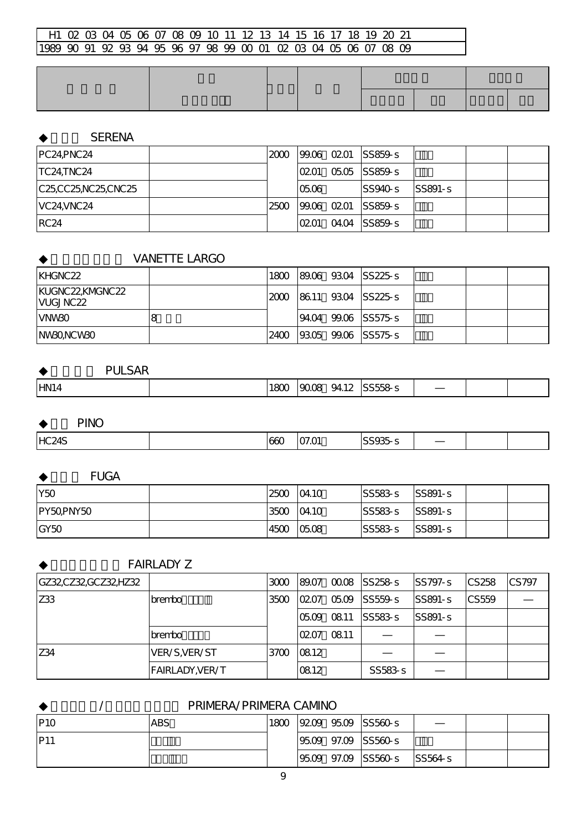# **SERENA**

| PC24, PNC24         | 2000 |      | $ 99.06 \t0201 $ SS859-s |           |  |
|---------------------|------|------|--------------------------|-----------|--|
| TC24,TNC24          |      | 0201 | 05.05 SS859-s            |           |  |
| C25,CC25,NC25,CNC25 |      | 0506 | SS940s                   | $SS891-S$ |  |
| VC24, VNC24         | 2500 |      | $ 99.06 \t0201 $ SS859-s |           |  |
| IRC <sub>24</sub>   |      | 0201 | 04.04 SS859-s            |           |  |

### **VANETTE LARGO**

| IKHGNC22                           |      |  | 1800 89.06 93.04 SS225-S |
|------------------------------------|------|--|--------------------------|
| KUGNC22KMGNC22<br><b>IVUGJNC22</b> |      |  | 2000 8611 9304 SS225-S   |
| <b>IVNW3O</b>                      |      |  | 9404 9906 SS575-S        |
| INW30NCW30                         | 2400 |  | $ 9305 \t9906 $ SS575-s  |

**PULSAR** 

| -Yite<br>www.<br>$\sim$ 1.6 $\sim$ | HN <sub>14</sub> | 180 | നന്ദ<br>9412 | CCTC |  |  |  |
|------------------------------------|------------------|-----|--------------|------|--|--|--|
|------------------------------------|------------------|-----|--------------|------|--|--|--|

**PINO** 

| HC <sub>24</sub> S<br>$\sim$ $\sim$ $\sim$<br>. .<br>66<br>.,<br>$\sim$<br>$ -$ |  |
|---------------------------------------------------------------------------------|--|

**FUGA** 

| Y50              | 2500 | 04.10 | $SS583 - S$ | $ SS891-S$  |  |
|------------------|------|-------|-------------|-------------|--|
| PY50PNY50        | 3500 | 04.10 | $SS583 - S$ | $ SS891-S $ |  |
| GY <sub>50</sub> | 4500 | 0508  | $ SS583-s $ | $ SS891-S$  |  |

#### **FAIRLADY Z**

| GZ32CZ32GCZ32HZ32 |                        | 3000            | 89.07     |      | 00.08 SS258-s | <b>SS797-S</b> | CS <sub>258</sub> | CS797 |
|-------------------|------------------------|-----------------|-----------|------|---------------|----------------|-------------------|-------|
| <b>Z33</b>        | <b>brembo</b>          | 3500            | 0207      |      | 0509 ISS559-S | $SS891-S$      | <b>CS559</b>      |       |
|                   |                        |                 | 0509 0811 |      | $SS583 - S$   | $SS891-S$      |                   |       |
|                   | <b>brembo</b>          |                 | 0207      | 0811 |               |                |                   |       |
| Z34               | VER/S, VER/ST          | 37 <sub>0</sub> | 0812      |      |               |                |                   |       |
|                   | <b>FAIRLADY, VER/T</b> |                 | 0812      |      | SS583-s       |                |                   |       |

◆プリメーラ/プリメーラカミノ PRIMERA/PRIMERA CAMINO

| P10 | <b>ABS</b> | 1800 |  | $ 9209 \t 9509 \t  SS560-s$ |        |  |
|-----|------------|------|--|-----------------------------|--------|--|
| P11 |            |      |  | $ 9509 \t 97.09 $ SS560-s   |        |  |
|     |            |      |  | $ 9509 \t97.09 $ SS560-s    | SS564s |  |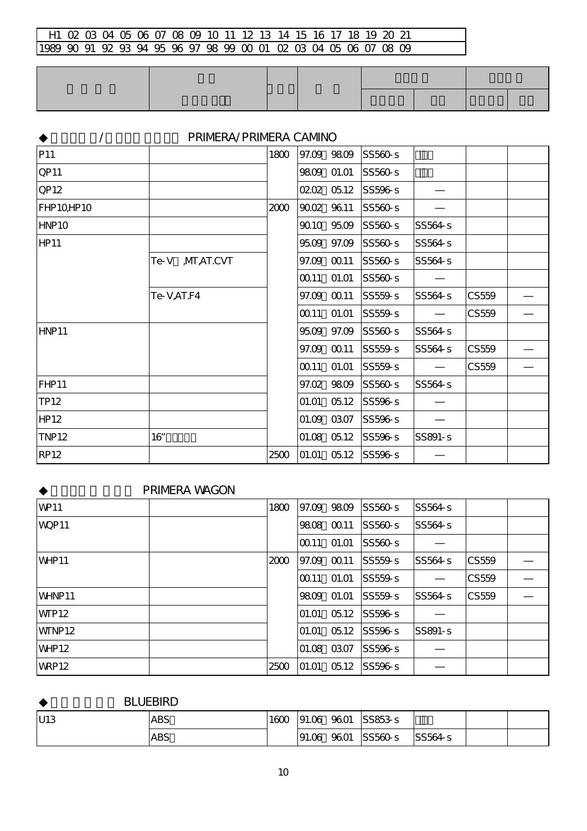|              | PRIMERA/PRIMERA CAMNO |      |       |                 |                |         |       |  |
|--------------|-----------------------|------|-------|-----------------|----------------|---------|-------|--|
| P11          |                       | 1800 |       | 97.09 98.09     | SS560-s        |         |       |  |
| <b>QP11</b>  |                       |      |       | 9809 01.01      | SS560-s        |         |       |  |
| QP12         |                       |      |       | 0202 0512       | SS596-s        |         |       |  |
| FHP10HP10    |                       | 2000 |       | 9002 9611       | SS560-s        |         |       |  |
| HNP10        |                       |      |       | 9010 95.09      | SS560-s        | SS564-s |       |  |
| <b>HP11</b>  |                       |      |       | 95.09 97.09     | SS560-s        | SS564-s |       |  |
|              | ,MT,AT.CVT<br>Te-V    |      |       | 97.09 00.11     | SS560-s        | SS564-s |       |  |
|              |                       |      | 00.11 | 01.01           | SS560-s        |         |       |  |
|              | Te-V,AT.F4            |      |       | 97.09 00.11     | SS559-s        | SS564-s | CS559 |  |
|              |                       |      | 0011  | 01.01           | SS559-s        |         | CS559 |  |
| HNP11        |                       |      |       | 95.09 97.09     | SS560-s        | SS564-s |       |  |
|              |                       |      |       | 97.09 00.11     | SS559-s        | SS564-s | CS559 |  |
|              |                       |      | 0011  | 01.01           | SS559-s        |         | CS559 |  |
| FHP11        |                       |      |       | 97.02 98.09     | SS560-s        | SS564-s |       |  |
| TP12         |                       |      | 01.01 | 0512            | SS596-s        |         |       |  |
| <b>HP12</b>  |                       |      |       | 01.09 03.07     | SS596-s        |         |       |  |
| <b>TNP12</b> | $16$ "                |      |       | $01.08$ $05.12$ | SS596-s        | SS891-s |       |  |
| <b>RP12</b>  |                       | 2500 |       | $01.01$ $05.12$ | <b>SS596-s</b> |         |       |  |

### **PRIMERA WAGON**

| <b>WP11</b>        | 1800 |            | 97.09 98.09 | SS560s  | SS564-s |       |  |
|--------------------|------|------------|-------------|---------|---------|-------|--|
| WQP11              |      | 9808       | CO 11       | SS560-s | SS564-s |       |  |
|                    |      | lCO 11     | 01.01       | SS560-s |         |       |  |
| WHP <sub>11</sub>  | 2000 | 97.09      | CO 11       | SS559-s | SS564-s | CS559 |  |
|                    |      | CO11       | O1.01       | SS559s  |         | CS559 |  |
| WHNP11             |      | 9809 01.01 |             | SS559-s | SS564-s | CS559 |  |
| <b>WFP12</b>       |      | 01.01      | 0512        | SS596s  |         |       |  |
| WTNP <sub>12</sub> |      | 01.01      | 0512        | SS596s  | SS891-s |       |  |
| WHP <sub>12</sub>  |      |            | 01.08 03.07 | SS596-s |         |       |  |
| WRP12              | 2500 | 01.01      | 0512        | SS596s  |         |       |  |

**BLUEBIRD** 

| U13 | <b>ABS</b> | 1600 | 91.06 | 9601 | SS853-s |         |  |
|-----|------------|------|-------|------|---------|---------|--|
|     | <b>ABS</b> |      | 91.06 | 9601 | SS560-s | SS564-s |  |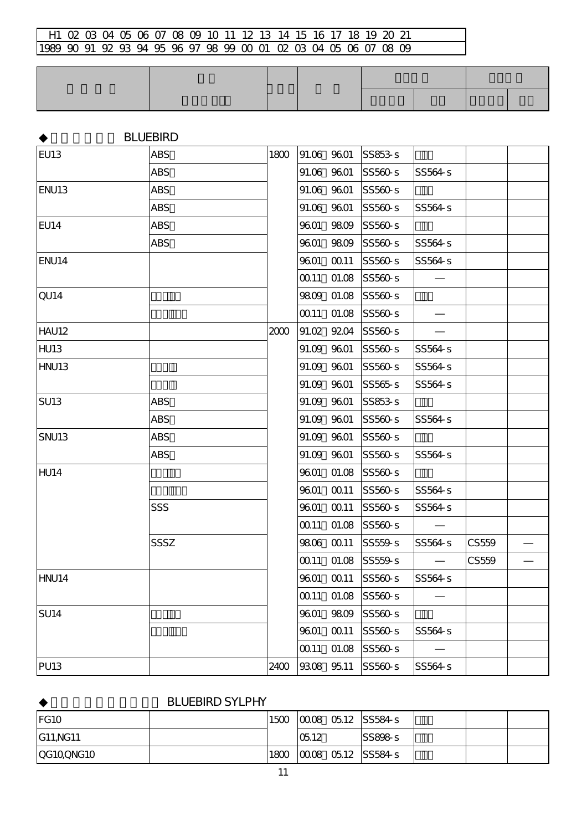|                   | <b>BLUEBIRD</b> |      |      |             |                     |         |       |  |
|-------------------|-----------------|------|------|-------------|---------------------|---------|-------|--|
| EU <sub>13</sub>  | <b>ABS</b>      | 1800 |      | 91.06 96.01 | $SS853-s$           |         |       |  |
|                   | <b>ABS</b>      |      |      | 91.06 96.01 | SS560-s             | SS564-s |       |  |
| ENU <sub>13</sub> | <b>ABS</b>      |      |      | 91.06 96.01 | SS560-s             |         |       |  |
|                   | <b>ABS</b>      |      |      | 91.06 9601  | SS560-s             | SS564-s |       |  |
| EU14              | <b>ABS</b>      |      | 9601 | 9809        | SS560-s             |         |       |  |
|                   | <b>ABS</b>      |      | 9601 |             | 9809 SS560-s        | SS564-s |       |  |
| ENU14             |                 |      |      | 9601 00.11  | SS560-s             | SS564-s |       |  |
|                   |                 |      |      |             | 00.11 01.08 SS560-s |         |       |  |
| QU <sub>14</sub>  |                 |      |      |             | 9809 01.08 SS560-s  |         |       |  |
|                   |                 |      |      |             | 00.11 01.08 SS560-s |         |       |  |
| HAU12             |                 | 2000 |      | 91.02 92.04 | SS560s              |         |       |  |
| <b>HU13</b>       |                 |      |      | 91.09 96.01 | SS560-s             | SS564-s |       |  |
| HNU13             |                 |      |      | 91.09 96.01 | SS560-s             | SS564-s |       |  |
|                   |                 |      |      | 91.09 96.01 | SS565s              | SS564-s |       |  |
| <b>SU13</b>       | <b>ABS</b>      |      |      | 91.09 9601  | SS853-s             |         |       |  |
|                   | <b>ABS</b>      |      |      | 91.09 96.01 | SS560-s             | SS564-s |       |  |
| <b>SNU13</b>      | <b>ABS</b>      |      |      | 91.09 9601  | SS560-s             |         |       |  |
|                   | <b>ABS</b>      |      |      | 91.09 9601  | SS560-s             | SS564-s |       |  |
| HU <sub>14</sub>  |                 |      | 9601 | 01.08       | SS560-s             |         |       |  |
|                   |                 |      |      | 9601 00.11  | SS560-s             | SS564-s |       |  |
|                   | SSS             |      | 9601 | CO 11       | SS560-s             | SS564-s |       |  |
|                   |                 |      |      |             | 00.11 01.08 SS560-s |         |       |  |
|                   | SSSZ            |      |      | 9806 00.11  | SS559-s             | SS564-s | CS559 |  |
|                   |                 |      |      |             | 00.11 01.08 SS559-s |         | CS559 |  |
| HNU14             |                 |      | 9601 | $\Omega$ 11 | SS560-s             | SS564-s |       |  |
|                   |                 |      | 0011 | 01.08       | SS560-s             |         |       |  |
| <b>SU14</b>       |                 |      | 9601 | 9809        | SS560-s             |         |       |  |
|                   |                 |      | 9601 | 00.11       | SS560-s             | SS564-s |       |  |
|                   |                 |      | 0011 | 01.08       | $ SS560-s$          |         |       |  |
| <b>PU13</b>       |                 | 2400 |      | 9308 95.11  | SS560-s             | SS564-s |       |  |

# **BLUEBIRD SYLPHY**

| IFG <sub>10</sub> | 1500 |      | $ 0008 \t{0}512 \t{S}584 - s$          |  |  |
|-------------------|------|------|----------------------------------------|--|--|
| <b>G11,NG11</b>   |      | 0512 | SS898s                                 |  |  |
| QG10,QNG10        | 1800 |      | $\left 0008\right 0512\right $ SS584-s |  |  |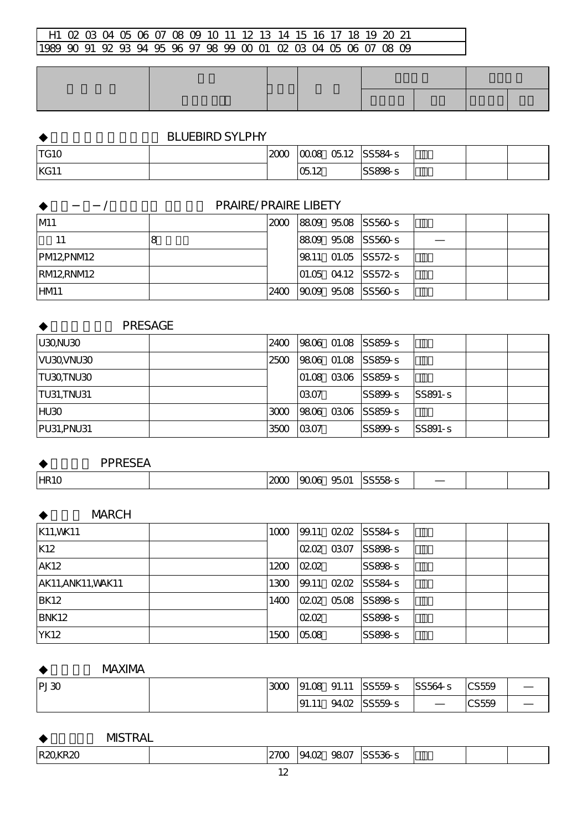# **BLUEBIRD SYLPHY**

| <b>TG10</b> | $\sim$<br>سە | 0008<br>0512       | SS584-s |  |  |
|-------------|--------------|--------------------|---------|--|--|
| KG11        |              | $\sim$ 10<br>U5.12 | SS898-s |  |  |

|           | <b>PRAIRE/PRAIRE LIBETY</b> |             |  |  |                            |  |  |  |  |  |  |
|-----------|-----------------------------|-------------|--|--|----------------------------|--|--|--|--|--|--|
| M1        |                             |             |  |  | 2000 8809 9508 SS560-S     |  |  |  |  |  |  |
| 11        |                             |             |  |  | 8809 9508 SS560-S          |  |  |  |  |  |  |
| PM12PNM12 |                             |             |  |  | 9811 01.05 SS572-s         |  |  |  |  |  |  |
| RM12RNM12 |                             |             |  |  | $[01.05 \t0412 \t S572-s]$ |  |  |  |  |  |  |
| HM1       |                             | <b>2400</b> |  |  | 9009 9508 SS560-S          |  |  |  |  |  |  |

| <b>PRESAGE</b> |      |             |            |                    |           |  |
|----------------|------|-------------|------------|--------------------|-----------|--|
| U30NU30        | 2400 |             |            | 9806 01.08 SS859-S |           |  |
| VU30VNU30      | 2500 |             | 9806 01.08 | SS859s             |           |  |
| TU30,TNU30     |      | 01.08 03.06 |            | <b>SS859-S</b>     |           |  |
| TU31,TNU31     |      | 0307        |            | SS899-S            | $SS891-S$ |  |
| HU30           | 3000 |             | 9806 0306  | SS859-S            |           |  |
| PU31, PNU31    | 3500 | 0307        |            | SS899-s            | SS891-s   |  |

**PPRESEA** 

**MARCH** 

| K11, WK11                 | 1000 |       |      | 99.11 0202 SS584-S |  |  |
|---------------------------|------|-------|------|--------------------|--|--|
| K12                       |      | 0202  | 0307 | SS898s             |  |  |
| <b>AK12</b>               | 1200 | 0202  |      | SS898-s            |  |  |
| <b>AK11, ANK11, WAK11</b> | 1300 | 99.11 |      | 0202 SS584-s       |  |  |
| <b>BK12</b>               | 1400 |       |      | 0202 0508 SS898-s  |  |  |
| <b>BNK12</b>              |      | 0202  |      | SS898s             |  |  |
| <b>YK12</b>               | 1500 | 0508  |      | SS898-S            |  |  |

 $2000$   $9006$   $9501$  SS558-s

**MAXIMA** 

| PI30 | 3000 | 91.08 | 91.11 | SS559-s | SS564s | CS559 |  |
|------|------|-------|-------|---------|--------|-------|--|
|      |      | 91.11 | 94.02 | SS559-s |        | CS559 |  |

**MSTRAL** 

| <b>R20KR20</b> | 27ΟC | $\sim$<br>Q40<br>، V | $\sim$<br>س<br>⊿u⁄ | <b>CCEOL</b> |  |  |
|----------------|------|----------------------|--------------------|--------------|--|--|
|                |      |                      |                    |              |  |  |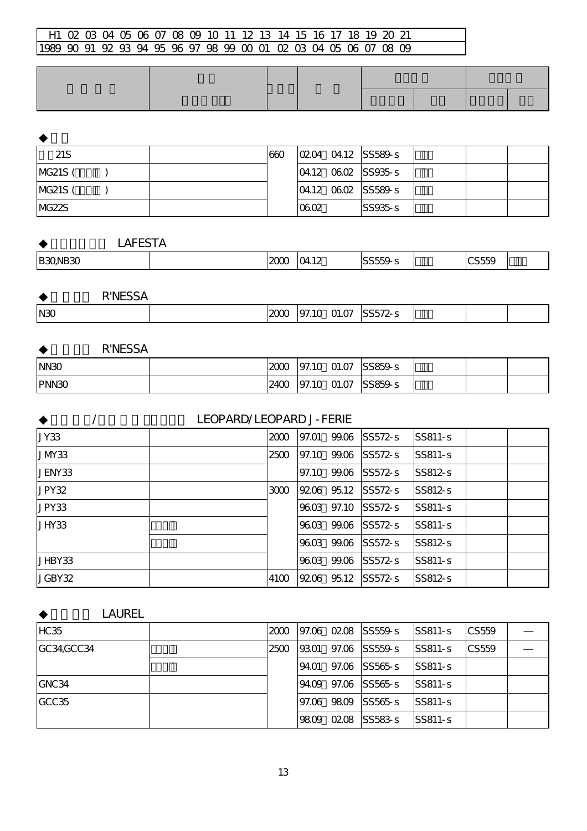| 21S     |  | 660 |      | $[0204 \t0412 \t\t   S5589-s]$        |  |  |
|---------|--|-----|------|---------------------------------------|--|--|
| MG21S ( |  |     |      | $ 04.12 \t\t\t0602 \t\t\t SS935 - S $ |  |  |
| MG21S ( |  |     |      | $ 04.12 \t\t06.02$ SS589-s            |  |  |
| NG22S   |  |     | 0602 | SS935s                                |  |  |

|  | <b>LAFESTA</b> |
|--|----------------|
|--|----------------|

|  | B30NB30<br>-- | $\sim$ | $\sim$ 11<br>ے ا<br>т. | $\sim$ $\sim$ $\sim$ $\sim$ |  | -----<br>∼ |  |
|--|---------------|--------|------------------------|-----------------------------|--|------------|--|
|--|---------------|--------|------------------------|-----------------------------|--|------------|--|

| <b>R'NESSA</b> |              |                |         |  |  |
|----------------|--------------|----------------|---------|--|--|
| N30            | $\sim$<br>zu | 01.07<br>97.10 | SS572-s |  |  |

| <b>R'NESSA</b> |      |             |                              |  |  |
|----------------|------|-------------|------------------------------|--|--|
| NN3O           | 2000 |             | $ 97.10 \t{01.07}  $ SS859-s |  |  |
| PNN30          | 2400 | 97.10 01.07 | $SS859-s$                    |  |  |

|            | <b>LEOPARD/LEOPARD J-FERIE</b> |      |       |           |                     |            |  |  |  |  |  |  |
|------------|--------------------------------|------|-------|-----------|---------------------|------------|--|--|--|--|--|--|
| JY33       |                                | 2000 | 97.O1 |           | 99.06 SS572-S       | $ SS811-s$ |  |  |  |  |  |  |
| $J$ M $33$ |                                | 2500 |       |           | 97.10 99.06 SS572-s | $ SS811-S$ |  |  |  |  |  |  |
| JENY33     |                                |      | 97.10 | 99.06     | $SS572-s$           | $ SS812-s$ |  |  |  |  |  |  |
| JPY32      |                                | 3000 |       | 9206 9512 | $SS572-s$           | $SS812-s$  |  |  |  |  |  |  |
| JPY33      |                                |      | 9603  | 97.10     | $ SS572-s $         | SS811-s    |  |  |  |  |  |  |
| JHY33      |                                |      | 9603  | 99.06     | $SS572-s$           | SS811-s    |  |  |  |  |  |  |
|            |                                |      |       |           | 9603 9906 SS572-S   | $SS812-s$  |  |  |  |  |  |  |
| IJHBY33    |                                |      | 9603  |           | 99.06 SS572-s       | SS811-s    |  |  |  |  |  |  |
| JGBY32     |                                | 4100 |       | 9206 9512 | $ SS572-s $         | SS812-s    |  |  |  |  |  |  |

| <b>LAUREL</b> |      |       |      |                     |            |       |  |
|---------------|------|-------|------|---------------------|------------|-------|--|
| <b>HC35</b>   | 2000 |       |      | 97.06 02.08 SS559-s | $SS811-S$  | CS559 |  |
| GC34GCC34     | 2500 | 9301  |      | 97.06 SS559-s       | $SS811-s$  | CS559 |  |
|               |      | 94.O1 |      | $97.06$ SS565-s     | $ SS811-s$ |       |  |
| GNC34         |      |       |      | 9409 9706 SS565-S   | $ SS811-s$ |       |  |
| GCC35         |      | 97.06 | 9809 | SS565s              | $ SS811-s$ |       |  |
|               |      | 9809  | 0208 | $ SS583 - S $       | $ SS811-s$ |       |  |